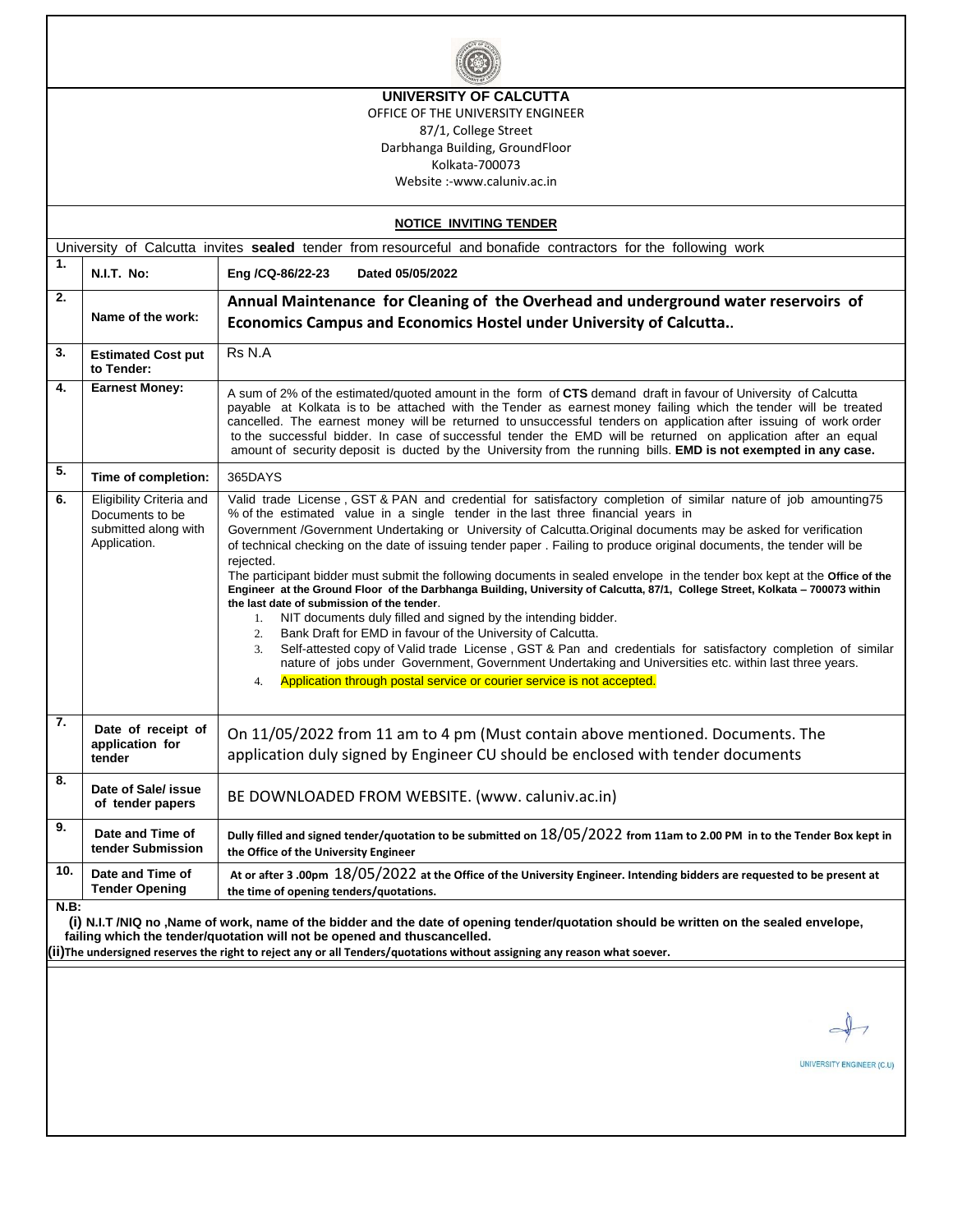| UNIVERSITY OF CALCUTTA                                                                                                                                                                                                                                                                                                                                        |                                                                                     |                                                                                                                                                                                                                                                                                                                                                                                                                                                                                                                                                                                                                                                                                                                                                                                                                                                                                                                                                                                                                                                                                                                                                                                                                                   |  |  |  |  |  |  |  |  |
|---------------------------------------------------------------------------------------------------------------------------------------------------------------------------------------------------------------------------------------------------------------------------------------------------------------------------------------------------------------|-------------------------------------------------------------------------------------|-----------------------------------------------------------------------------------------------------------------------------------------------------------------------------------------------------------------------------------------------------------------------------------------------------------------------------------------------------------------------------------------------------------------------------------------------------------------------------------------------------------------------------------------------------------------------------------------------------------------------------------------------------------------------------------------------------------------------------------------------------------------------------------------------------------------------------------------------------------------------------------------------------------------------------------------------------------------------------------------------------------------------------------------------------------------------------------------------------------------------------------------------------------------------------------------------------------------------------------|--|--|--|--|--|--|--|--|
| OFFICE OF THE UNIVERSITY ENGINEER                                                                                                                                                                                                                                                                                                                             |                                                                                     |                                                                                                                                                                                                                                                                                                                                                                                                                                                                                                                                                                                                                                                                                                                                                                                                                                                                                                                                                                                                                                                                                                                                                                                                                                   |  |  |  |  |  |  |  |  |
| 87/1, College Street                                                                                                                                                                                                                                                                                                                                          |                                                                                     |                                                                                                                                                                                                                                                                                                                                                                                                                                                                                                                                                                                                                                                                                                                                                                                                                                                                                                                                                                                                                                                                                                                                                                                                                                   |  |  |  |  |  |  |  |  |
|                                                                                                                                                                                                                                                                                                                                                               | Darbhanga Building, GroundFloor<br>Kolkata-700073                                   |                                                                                                                                                                                                                                                                                                                                                                                                                                                                                                                                                                                                                                                                                                                                                                                                                                                                                                                                                                                                                                                                                                                                                                                                                                   |  |  |  |  |  |  |  |  |
|                                                                                                                                                                                                                                                                                                                                                               | Website:-www.caluniv.ac.in                                                          |                                                                                                                                                                                                                                                                                                                                                                                                                                                                                                                                                                                                                                                                                                                                                                                                                                                                                                                                                                                                                                                                                                                                                                                                                                   |  |  |  |  |  |  |  |  |
|                                                                                                                                                                                                                                                                                                                                                               |                                                                                     | <b>NOTICE INVITING TENDER</b>                                                                                                                                                                                                                                                                                                                                                                                                                                                                                                                                                                                                                                                                                                                                                                                                                                                                                                                                                                                                                                                                                                                                                                                                     |  |  |  |  |  |  |  |  |
|                                                                                                                                                                                                                                                                                                                                                               |                                                                                     | University of Calcutta invites sealed tender from resourceful and bonafide contractors for the following work                                                                                                                                                                                                                                                                                                                                                                                                                                                                                                                                                                                                                                                                                                                                                                                                                                                                                                                                                                                                                                                                                                                     |  |  |  |  |  |  |  |  |
| 1.                                                                                                                                                                                                                                                                                                                                                            | <b>N.I.T. No:</b>                                                                   | Eng /CQ-86/22-23<br>Dated 05/05/2022                                                                                                                                                                                                                                                                                                                                                                                                                                                                                                                                                                                                                                                                                                                                                                                                                                                                                                                                                                                                                                                                                                                                                                                              |  |  |  |  |  |  |  |  |
| 2.                                                                                                                                                                                                                                                                                                                                                            | Name of the work:                                                                   | Annual Maintenance for Cleaning of the Overhead and underground water reservoirs of                                                                                                                                                                                                                                                                                                                                                                                                                                                                                                                                                                                                                                                                                                                                                                                                                                                                                                                                                                                                                                                                                                                                               |  |  |  |  |  |  |  |  |
|                                                                                                                                                                                                                                                                                                                                                               |                                                                                     | Economics Campus and Economics Hostel under University of Calcutta                                                                                                                                                                                                                                                                                                                                                                                                                                                                                                                                                                                                                                                                                                                                                                                                                                                                                                                                                                                                                                                                                                                                                                |  |  |  |  |  |  |  |  |
| 3.                                                                                                                                                                                                                                                                                                                                                            | <b>Estimated Cost put</b><br>to Tender:                                             | Rs N.A                                                                                                                                                                                                                                                                                                                                                                                                                                                                                                                                                                                                                                                                                                                                                                                                                                                                                                                                                                                                                                                                                                                                                                                                                            |  |  |  |  |  |  |  |  |
| 4.                                                                                                                                                                                                                                                                                                                                                            | <b>Earnest Money:</b>                                                               | A sum of 2% of the estimated/quoted amount in the form of CTS demand draft in favour of University of Calcutta<br>payable at Kolkata is to be attached with the Tender as earnest money failing which the tender will be treated<br>cancelled. The earnest money will be returned to unsuccessful tenders on application after issuing of work order<br>to the successful bidder. In case of successful tender the EMD will be returned on application after an equal<br>amount of security deposit is ducted by the University from the running bills. EMD is not exempted in any case.                                                                                                                                                                                                                                                                                                                                                                                                                                                                                                                                                                                                                                          |  |  |  |  |  |  |  |  |
| 5.                                                                                                                                                                                                                                                                                                                                                            | Time of completion:                                                                 | 365DAYS                                                                                                                                                                                                                                                                                                                                                                                                                                                                                                                                                                                                                                                                                                                                                                                                                                                                                                                                                                                                                                                                                                                                                                                                                           |  |  |  |  |  |  |  |  |
| 6.                                                                                                                                                                                                                                                                                                                                                            | Eligibility Criteria and<br>Documents to be<br>submitted along with<br>Application. | Valid trade License, GST & PAN and credential for satisfactory completion of similar nature of job amounting75<br>% of the estimated value in a single tender in the last three financial years in<br>Government /Government Undertaking or University of Calcutta. Original documents may be asked for verification<br>of technical checking on the date of issuing tender paper . Failing to produce original documents, the tender will be<br>rejected.<br>The participant bidder must submit the following documents in sealed envelope in the tender box kept at the Office of the<br>Engineer at the Ground Floor of the Darbhanga Building, University of Calcutta, 87/1, College Street, Kolkata - 700073 within<br>the last date of submission of the tender.<br>NIT documents duly filled and signed by the intending bidder.<br>1.<br>Bank Draft for EMD in favour of the University of Calcutta.<br>2.<br>Self-attested copy of Valid trade License, GST & Pan and credentials for satisfactory completion of similar<br>3.<br>nature of jobs under Government, Government Undertaking and Universities etc. within last three years.<br>Application through postal service or courier service is not accepted.<br>4. |  |  |  |  |  |  |  |  |
| 7.                                                                                                                                                                                                                                                                                                                                                            | Date of receipt of<br>application for<br>tender                                     | On 11/05/2022 from 11 am to 4 pm (Must contain above mentioned. Documents. The<br>application duly signed by Engineer CU should be enclosed with tender documents                                                                                                                                                                                                                                                                                                                                                                                                                                                                                                                                                                                                                                                                                                                                                                                                                                                                                                                                                                                                                                                                 |  |  |  |  |  |  |  |  |
| 8.                                                                                                                                                                                                                                                                                                                                                            | Date of Sale/ issue<br>of tender papers                                             | BE DOWNLOADED FROM WEBSITE. (www. caluniv.ac.in)                                                                                                                                                                                                                                                                                                                                                                                                                                                                                                                                                                                                                                                                                                                                                                                                                                                                                                                                                                                                                                                                                                                                                                                  |  |  |  |  |  |  |  |  |
| 9.                                                                                                                                                                                                                                                                                                                                                            | Date and Time of<br>tender Submission                                               | Dully filled and signed tender/quotation to be submitted on 18/05/2022 from 11am to 2.00 PM in to the Tender Box kept in<br>the Office of the University Engineer                                                                                                                                                                                                                                                                                                                                                                                                                                                                                                                                                                                                                                                                                                                                                                                                                                                                                                                                                                                                                                                                 |  |  |  |  |  |  |  |  |
| 10.                                                                                                                                                                                                                                                                                                                                                           | Date and Time of<br><b>Tender Opening</b>                                           | At or after 3 .00pm $18/05/2022$ at the Office of the University Engineer. Intending bidders are requested to be present at<br>the time of opening tenders/quotations.                                                                                                                                                                                                                                                                                                                                                                                                                                                                                                                                                                                                                                                                                                                                                                                                                                                                                                                                                                                                                                                            |  |  |  |  |  |  |  |  |
| <b>N.B:</b><br>(i) N.I.T/NIQ no, Name of work, name of the bidder and the date of opening tender/quotation should be written on the sealed envelope,<br>failing which the tender/quotation will not be opened and thuscancelled.<br>(ii) The undersigned reserves the right to reject any or all Tenders/quotations without assigning any reason what soever. |                                                                                     |                                                                                                                                                                                                                                                                                                                                                                                                                                                                                                                                                                                                                                                                                                                                                                                                                                                                                                                                                                                                                                                                                                                                                                                                                                   |  |  |  |  |  |  |  |  |
|                                                                                                                                                                                                                                                                                                                                                               |                                                                                     | UNIVERSITY ENGINEER (C.U                                                                                                                                                                                                                                                                                                                                                                                                                                                                                                                                                                                                                                                                                                                                                                                                                                                                                                                                                                                                                                                                                                                                                                                                          |  |  |  |  |  |  |  |  |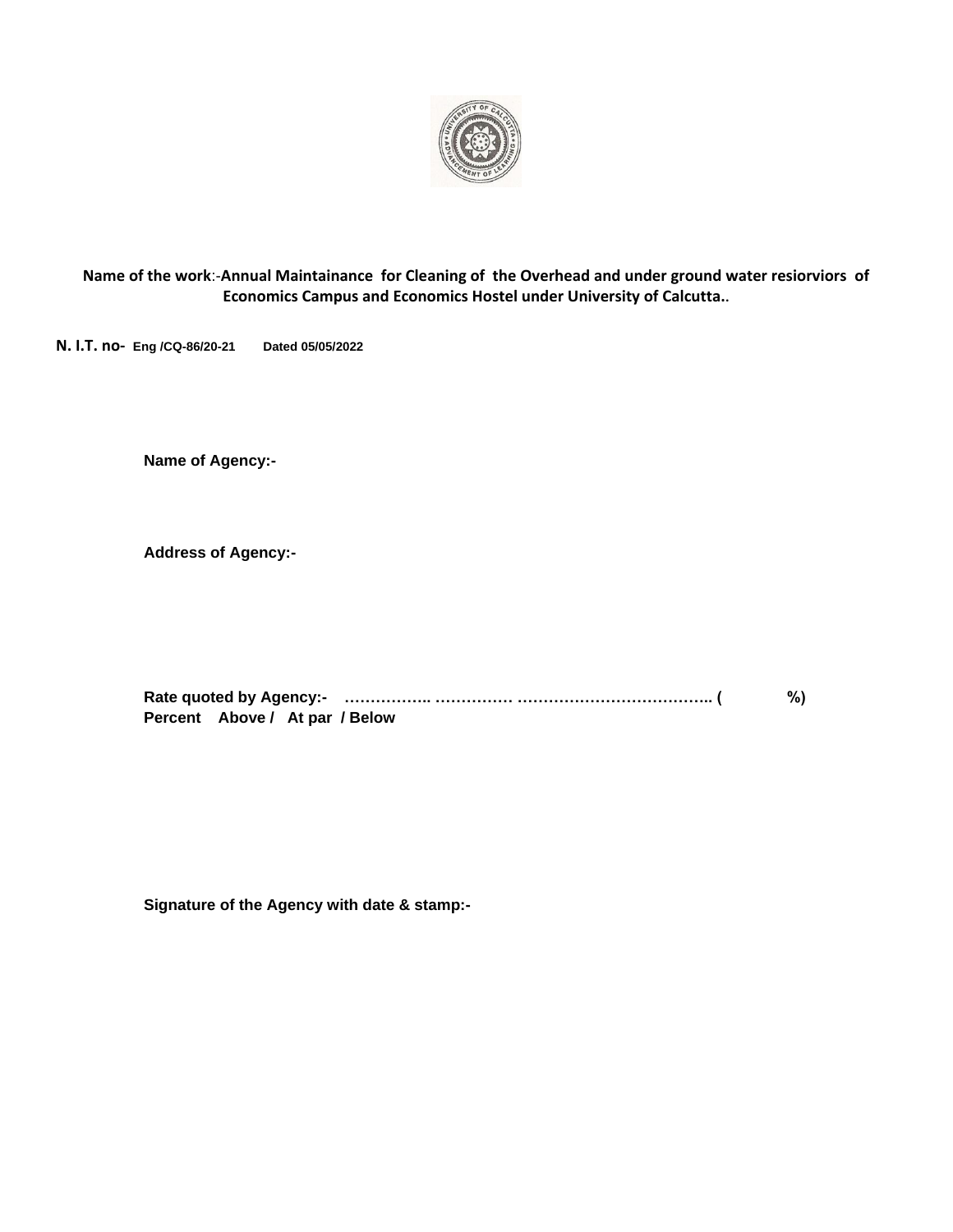

**Name of the work**:-**Annual Maintainance for Cleaning of the Overhead and under ground water resiorviors of Economics Campus and Economics Hostel under University of Calcutta..**

**N. I.T. no- Eng /CQ-86/20-21 Dated 05/05/2022**

**Name of Agency:-**

**Address of Agency:-**

|                                | %) |
|--------------------------------|----|
| Percent Above / At par / Below |    |

**Signature of the Agency with date & stamp:-**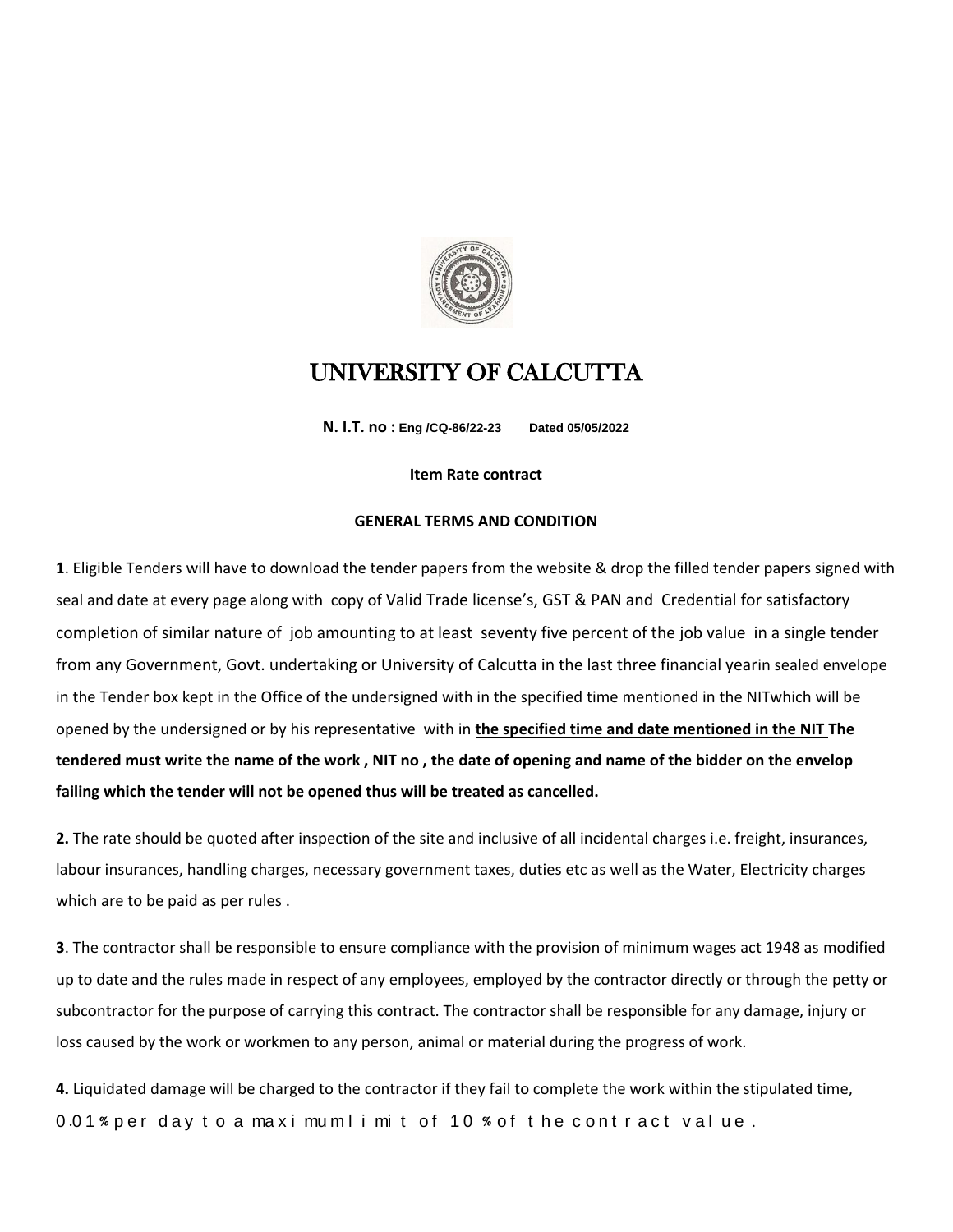

## UNIVERSITY OF CALCUTTA

**N. I.T. no : Eng /CQ-86/22-23 Dated 05/05/2022**

## **Item Rate contract**

## **GENERAL TERMS AND CONDITION**

**1**. Eligible Tenders will have to download the tender papers from the website & drop the filled tender papers signed with seal and date at every page along with copy of Valid Trade license's, GST & PAN and Credential for satisfactory completion of similar nature of job amounting to at least seventy five percent of the job value in a single tender from any Government, Govt. undertaking or University of Calcutta in the last three financial yearin sealed envelope in the Tender box kept in the Office of the undersigned with in the specified time mentioned in the NITwhich will be opened by the undersigned or by his representative with in **the specified time and date mentioned in the NIT The tendered must write the name of the work , NIT no , the date of opening and name of the bidder on the envelop failing which the tender will not be opened thus will be treated as cancelled.**

**2.** The rate should be quoted after inspection of the site and inclusive of all incidental charges i.e. freight, insurances, labour insurances, handling charges, necessary government taxes, duties etc as well as the Water, Electricity charges which are to be paid as per rules .

**3**. The contractor shall be responsible to ensure compliance with the provision of minimum wages act 1948 as modified up to date and the rules made in respect of any employees, employed by the contractor directly or through the petty or subcontractor for the purpose of carrying this contract. The contractor shall be responsible for any damage, injury or loss caused by the work or workmen to any person, animal or material during the progress of work.

**4.** Liquidated damage will be charged to the contractor if they fail to complete the work within the stipulated time, 0.01% per day to a maximum limit of 10 % of the contract value.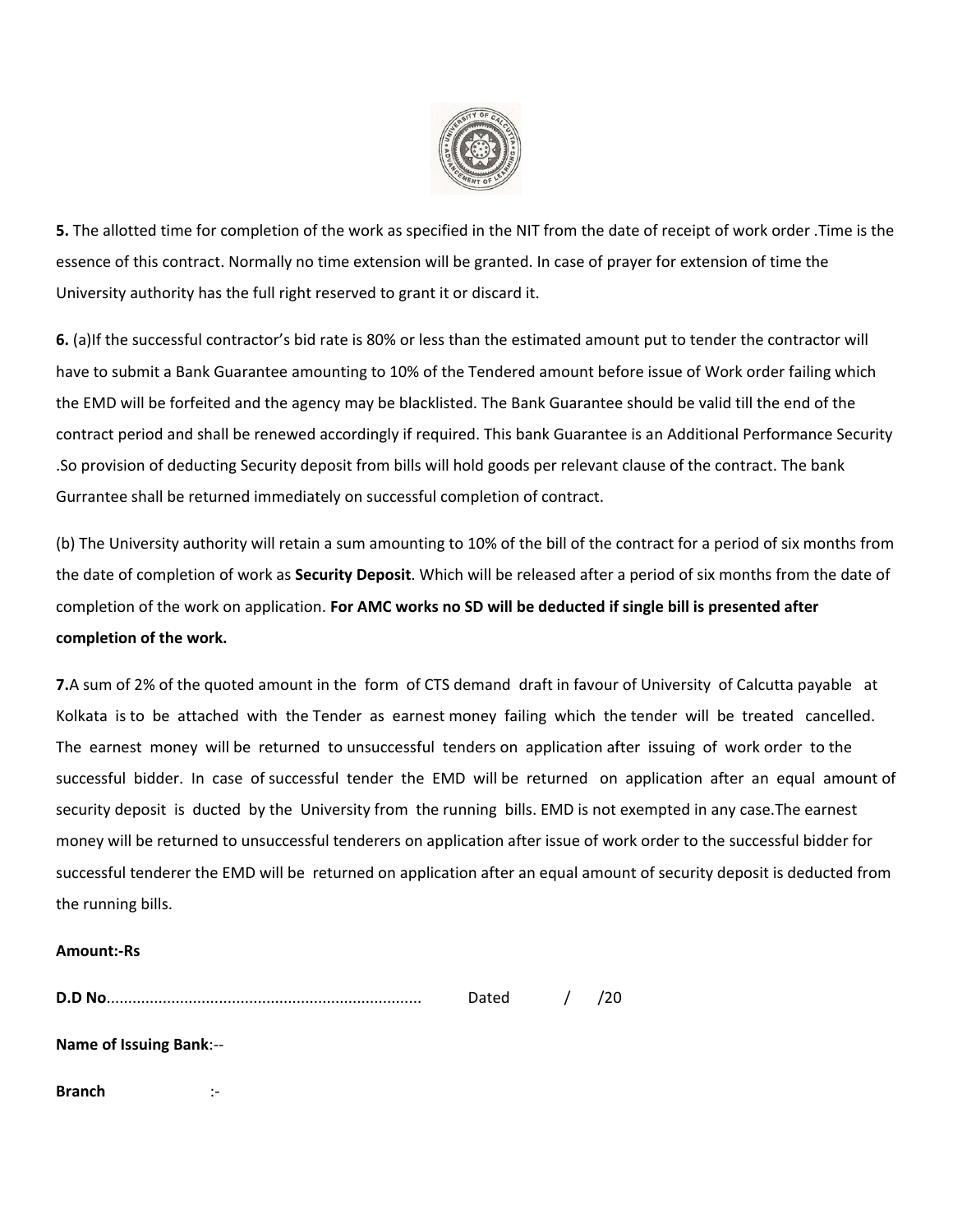

**5.** The allotted time for completion of the work as specified in the NIT from the date of receipt of work order .Time is the essence of this contract. Normally no time extension will be granted. In case of prayer for extension of time the University authority has the full right reserved to grant it or discard it.

**6.** (a)If the successful contractor's bid rate is 80% or less than the estimated amount put to tender the contractor will have to submit a Bank Guarantee amounting to 10% of the Tendered amount before issue of Work order failing which the EMD will be forfeited and the agency may be blacklisted. The Bank Guarantee should be valid till the end of the contract period and shall be renewed accordingly if required. This bank Guarantee is an Additional Performance Security .So provision of deducting Security deposit from bills will hold goods per relevant clause of the contract. The bank Gurrantee shall be returned immediately on successful completion of contract.

(b) The University authority will retain a sum amounting to 10% of the bill of the contract for a period of six months from the date of completion of work as **Security Deposit**. Which will be released after a period of six months from the date of completion of the work on application. **For AMC works no SD will be deducted if single bill is presented after completion of the work.**

**7.**A sum of 2% of the quoted amount in the form of CTS demand draft in favour of University of Calcutta payable at Kolkata is to be attached with the Tender as earnest money failing which the tender will be treated cancelled. The earnest money will be returned to unsuccessful tenders on application after issuing of work order to the successful bidder. In case of successful tender the EMD will be returned on application after an equal amount of security deposit is ducted by the University from the running bills. EMD is not exempted in any case.The earnest money will be returned to unsuccessful tenderers on application after issue of work order to the successful bidder for successful tenderer the EMD will be returned on application after an equal amount of security deposit is deducted from the running bills.

## **Amount:-Rs**

|                                | Dated / | /20 |
|--------------------------------|---------|-----|
| <b>Name of Issuing Bank:--</b> |         |     |

**Branch** :-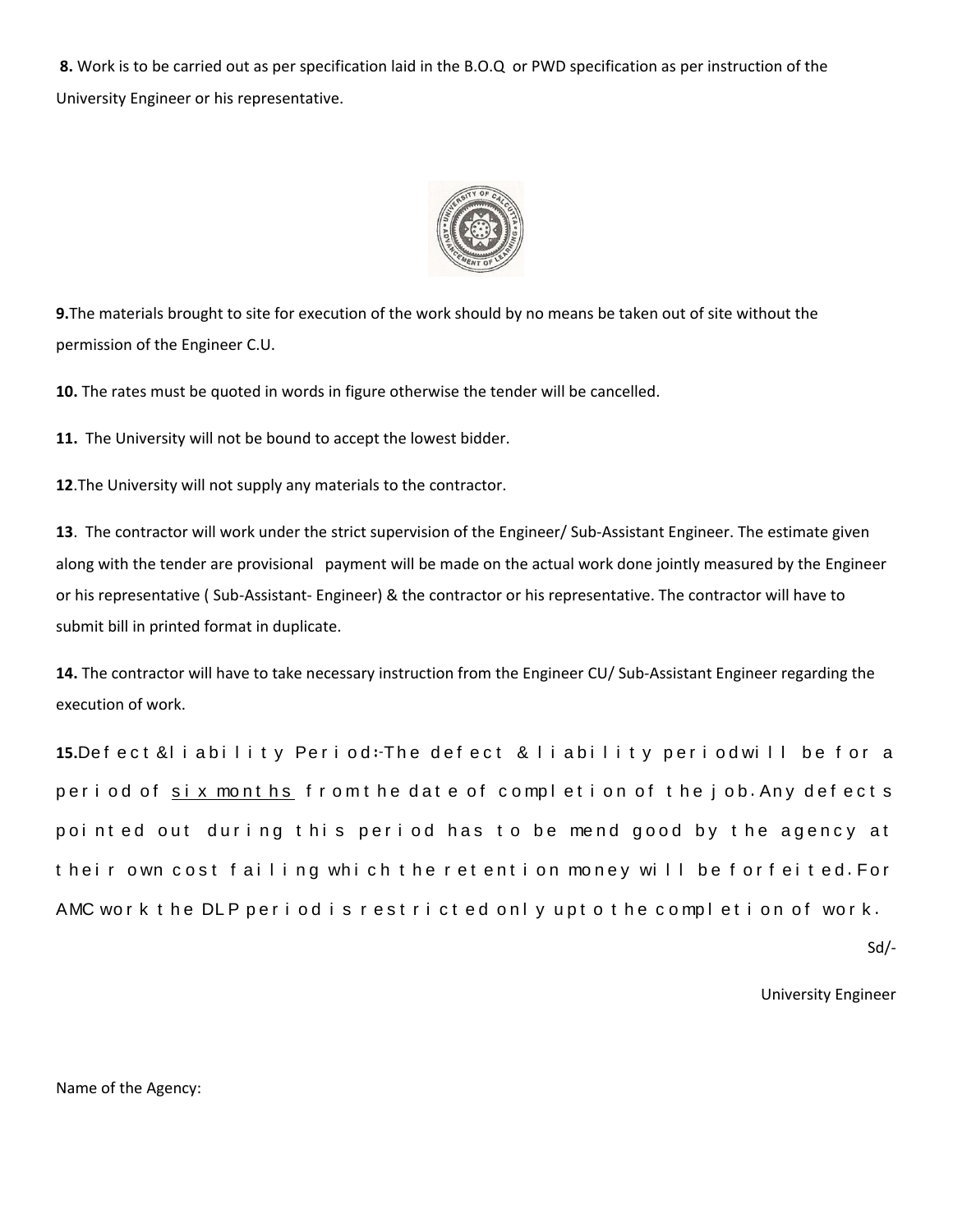**8.** Work is to be carried out as per specification laid in the B.O.Q or PWD specification as per instruction of the University Engineer or his representative.



**9.**The materials brought to site for execution of the work should by no means be taken out of site without the permission of the Engineer C.U.

**10.** The rates must be quoted in words in figure otherwise the tender will be cancelled.

**11.** The University will not be bound to accept the lowest bidder.

**12**.The University will not supply any materials to the contractor.

**13**. The contractor will work under the strict supervision of the Engineer/ Sub-Assistant Engineer. The estimate given along with the tender are provisional payment will be made on the actual work done jointly measured by the Engineer or his representative ( Sub-Assistant- Engineer) & the contractor or his representative. The contractor will have to submit bill in printed format in duplicate.

**14.** The contractor will have to take necessary instruction from the Engineer CU/ Sub-Assistant Engineer regarding the execution of work.

15.Defect &liability Period: The defect & liability period will be for a period of six months from the date of completion of the job. Any defects pointed out during this period has to be mend good by the agency at their own cost failing which the retention money will be forfeited. For AMC work the DLP period is restricted only upto the completion of work.

Sd/-

University Engineer

Name of the Agency: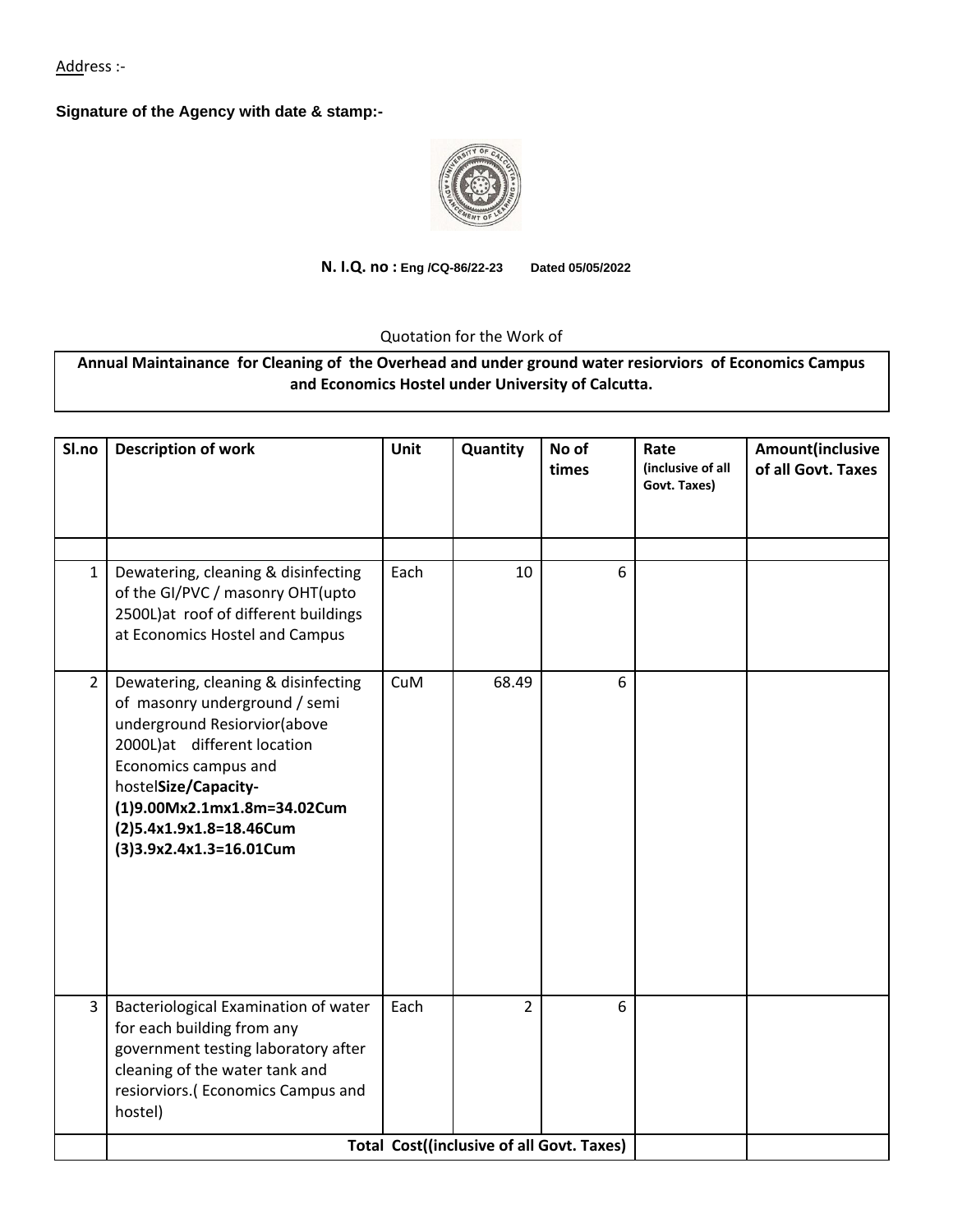Address :-

**Signature of the Agency with date & stamp:-**



**N. I.Q. no : Eng /CQ-86/22-23 Dated 05/05/2022**

Quotation for the Work of

**Annual Maintainance for Cleaning of the Overhead and under ground water resiorviors of Economics Campus and Economics Hostel under University of Calcutta.**

| Sl.no          | <b>Description of work</b>                                                                                                                                                                                                                                               | Unit       | Quantity       | No of<br>times | Rate<br>(inclusive of all<br>Govt. Taxes) | Amount(inclusive<br>of all Govt. Taxes |  |  |  |
|----------------|--------------------------------------------------------------------------------------------------------------------------------------------------------------------------------------------------------------------------------------------------------------------------|------------|----------------|----------------|-------------------------------------------|----------------------------------------|--|--|--|
| $\mathbf{1}$   | Dewatering, cleaning & disinfecting                                                                                                                                                                                                                                      | Each       | 10             | 6              |                                           |                                        |  |  |  |
|                | of the GI/PVC / masonry OHT(upto<br>2500L)at roof of different buildings<br>at Economics Hostel and Campus                                                                                                                                                               |            |                |                |                                           |                                        |  |  |  |
| $\overline{2}$ | Dewatering, cleaning & disinfecting<br>of masonry underground / semi<br>underground Resiorvior(above<br>2000L)at different location<br>Economics campus and<br>hostelSize/Capacity-<br>(1)9.00Mx2.1mx1.8m=34.02Cum<br>(2)5.4x1.9x1.8=18.46Cum<br>(3)3.9x2.4x1.3=16.01Cum | <b>CuM</b> | 68.49          | 6              |                                           |                                        |  |  |  |
|                |                                                                                                                                                                                                                                                                          |            |                |                |                                           |                                        |  |  |  |
| $\overline{3}$ | Bacteriological Examination of water<br>for each building from any<br>government testing laboratory after<br>cleaning of the water tank and<br>resiorviors.(Economics Campus and<br>hostel)                                                                              | Each       | $\overline{2}$ | 6              |                                           |                                        |  |  |  |
|                | <b>Total Cost((inclusive of all Govt. Taxes)</b>                                                                                                                                                                                                                         |            |                |                |                                           |                                        |  |  |  |